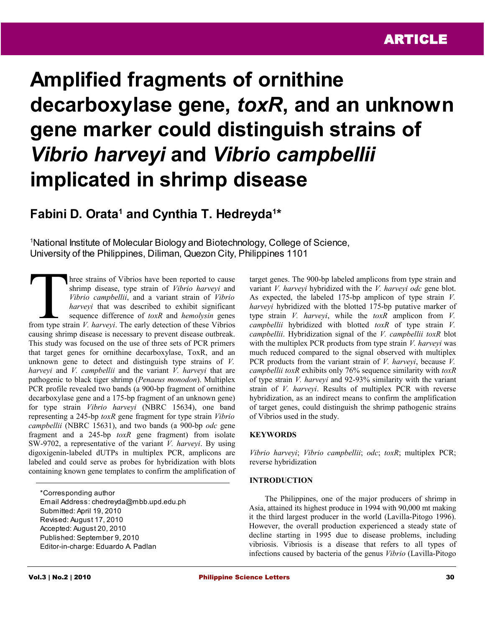# **Amplified fragments of ornithine decarboxylase gene,** *toxR***, and an unknown gene marker could distinguish strains of**  *Vibrio harveyi* **and** *Vibrio campbellii* **implicated in shrimp disease**

# Fabini D. Orata<sup>1</sup> and Cynthia T. Hedreyda<sup>1\*</sup>

<sup>1</sup>National Institute of Molecular Biology and Biotechnology, College of Science, University of the Philippines, Diliman, Quezon City, Philippines 1101

hree strains of Vibrios have been reported to cause shrimp disease, type strain of *Vibrio harveyi* and *Vibrio campbellii*, and a variant strain of *Vibrio harveyi* that was described to exhibit significant sequence difference of *toxR* and *hemolysin* genes **From the strains of Vibrios have been reported to cause** shrimp disease, type strain of *Vibrio harveyi* and *Vibrio harveyi* that was described to exhibit significant sequence difference of *toxR* and *hemolysin* genes f causing shrimp disease is necessary to prevent disease outbreak. This study was focused on the use of three sets of PCR primers that target genes for ornithine decarboxylase, ToxR, and an unknown gene to detect and distinguish type strains of *V. harveyi* and *V. campbellii* and the variant *V. harveyi* that are pathogenic to black tiger shrimp (*Penaeus monodon*). Multiplex PCR profile revealed two bands (a 900-bp fragment of ornithine decarboxylase gene and a 175-bp fragment of an unknown gene) for type strain *Vibrio harveyi* (NBRC 15634), one band representing a 245-bp *toxR* gene fragment for type strain *Vibrio campbellii* (NBRC 15631), and two bands (a 900-bp *odc* gene fragment and a 245-bp *toxR* gene fragment) from isolate SW-9702, a representative of the variant *V. harveyi*. By using digoxigenin-labeled dUTPs in multiplex PCR, amplicons are labeled and could serve as probes for hybridization with blots containing known gene templates to confirm the amplification of

\*Corresponding author Email Address: chedreyda@mbb.upd.edu.ph Submitted: April 19, 2010 Revised: August 17, 2010 Accepted: August 20, 2010 Published: September 9, 2010 Editor-in-charge: Eduardo A. Padlan

target genes. The 900-bp labeled amplicons from type strain and variant *V. harveyi* hybridized with the *V. harveyi odc* gene blot. As expected, the labeled 175-bp amplicon of type strain *V. harveyi* hybridized with the blotted 175-bp putative marker of type strain *V. harveyi*, while the *toxR* amplicon from *V. campbellii* hybridized with blotted *toxR* of type strain *V. campbellii*. Hybridization signal of the *V. campbellii toxR* blot with the multiplex PCR products from type strain *V. harveyi* was much reduced compared to the signal observed with multiplex PCR products from the variant strain of *V. harveyi*, because *V. campbellii toxR* exhibits only 76% sequence similarity with *toxR* of type strain *V. harveyi* and 92-93% similarity with the variant strain of *V. harveyi*. Results of multiplex PCR with reverse hybridization, as an indirect means to confirm the amplification of target genes, could distinguish the shrimp pathogenic strains of Vibrios used in the study.

# **KEYWORDS**

*Vibrio harveyi*; *Vibrio campbellii*; *odc*; *toxR*; multiplex PCR; reverse hybridization

#### **INTRODUCTION**

The Philippines, one of the major producers of shrimp in Asia, attained its highest produce in 1994 with 90,000 mt making it the third largest producer in the world (Lavilla-Pitogo 1996). However, the overall production experienced a steady state of decline starting in 1995 due to disease problems, including vibriosis. Vibriosis is a disease that refers to all types of infections caused by bacteria of the genus *Vibrio* (Lavilla-Pitogo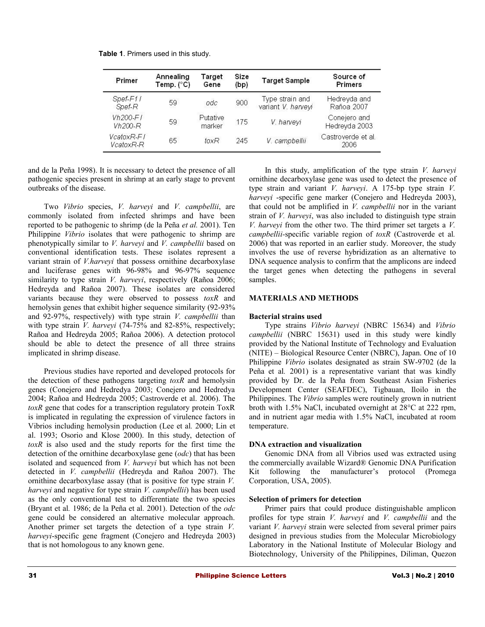| <b>Table 1.</b> Primers used in this study. |
|---------------------------------------------|
|---------------------------------------------|

| Primer                  | Annealing<br>Temp. $(^{\circ}C)$ | Target<br>Gene     | Size<br>(bp) | <b>Target Sample</b>                  | Source of<br>Primers          |
|-------------------------|----------------------------------|--------------------|--------------|---------------------------------------|-------------------------------|
| Spef-F11<br>Spef-R      | 59                               | odc                | 900          | Type strain and<br>variant V. harveyi | Hedreyda and<br>Rañoa 2007    |
| $Vh200-FI$<br>$Vh200-R$ | 59                               | Putative<br>marker | 175          | V. harveyi                            | Conejero and<br>Hedreyda 2003 |
| VcatoxR-F1<br>VcatoxR-R | 65                               | $f_0xR$            | 245          | V. campbellii                         | Castroverde et al.<br>2006    |

and de la Peña 1998). It is necessary to detect the presence of all pathogenic species present in shrimp at an early stage to prevent outbreaks of the disease.

Two *Vibrio* species, *V. harveyi* and *V. campbellii*, are commonly isolated from infected shrimps and have been reported to be pathogenic to shrimp (de la Peña *et al.* 2001). Ten Philippine *Vibrio* isolates that were pathogenic to shrimp are phenotypically similar to *V. harveyi* and *V. campbellii* based on conventional identification tests. These isolates represent a variant strain of *V.harveyi* that possess ornithine decarboxylase and luciferase genes with 96-98% and 96-97% sequence similarity to type strain *V. harveyi*, respectively (Rañoa 2006; Hedreyda and Rañoa 2007). These isolates are considered variants because they were observed to possess *toxR* and hemolysin genes that exhibit higher sequence similarity (92-93% and 92-97%, respectively) with type strain *V. campbellii* than with type strain *V. harveyi* (74-75% and 82-85%, respectively; Rañoa and Hedreyda 2005; Rañoa 2006). A detection protocol should be able to detect the presence of all three strains implicated in shrimp disease.

Previous studies have reported and developed protocols for the detection of these pathogens targeting *toxR* and hemolysin genes (Conejero and Hedredya 2003; Conejero and Hedredya 2004; Rañoa and Hedreyda 2005; Castroverde et al. 2006). The *toxR* gene that codes for a transcription regulatory protein ToxR is implicated in regulating the expression of virulence factors in Vibrios including hemolysin production (Lee et al*.* 2000; Lin et al. 1993; Osorio and Klose 2000). In this study, detection of *toxR* is also used and the study reports for the first time the detection of the ornithine decarboxylase gene (*odc*) that has been isolated and sequenced from *V. harveyi* but which has not been detected in *V. campbellii* (Hedreyda and Rañoa 2007). The ornithine decarboxylase assay (that is positive for type strain *V. harveyi* and negative for type strain *V. campbellii*) has been used as the only conventional test to differentiate the two species (Bryant et al*.* 1986; de la Peña et al*.* 2001). Detection of the *odc* gene could be considered an alternative molecular approach. Another primer set targets the detection of a type strain *V. harveyi*-specific gene fragment (Conejero and Hedreyda 2003) that is not homologous to any known gene.

In this study, amplification of the type strain *V. harveyi* ornithine decarboxylase gene was used to detect the presence of type strain and variant *V. harveyi*. A 175-bp type strain *V. harveyi* -specific gene marker (Conejero and Hedreyda 2003), that could not be amplified in *V. campbellii* nor in the variant strain of *V. harveyi*, was also included to distinguish type strain *V. harveyi* from the other two. The third primer set targets a *V. campbellii-*specific variable region of *toxR* (Castroverde et al*.* 2006) that was reported in an earlier study. Moreover, the study involves the use of reverse hybridization as an alternative to DNA sequence analysis to confirm that the amplicons are indeed the target genes when detecting the pathogens in several samples.

# **MATERIALS AND METHODS**

### **Bacterial strains used**

Type strains *Vibrio harveyi* (NBRC 15634) and *Vibrio campbellii* (NBRC 15631) used in this study were kindly provided by the National Institute of Technology and Evaluation (NITE) – Biological Resource Center (NBRC), Japan. One of 10 Philippine *Vibrio* isolates designated as strain SW-9702 (de la Peña et al*.* 2001) is a representative variant that was kindly provided by Dr. de la Peña from Southeast Asian Fisheries Development Center (SEAFDEC), Tigbauan, Iloilo in the Philippines. The *Vibrio* samples were routinely grown in nutrient broth with 1.5% NaCl, incubated overnight at 28°C at 222 rpm, and in nutrient agar media with 1.5% NaCl, incubated at room temperature.

#### **DNA extraction and visualization**

Genomic DNA from all Vibrios used was extracted using the commercially available Wizard® Genomic DNA Purification Kit following the manufacturer's protocol (Promega Corporation, USA, 2005).

#### **Selection of primers for detection**

Primer pairs that could produce distinguishable amplicon profiles for type strain *V. harveyi* and *V. campbellii* and the variant *V. harveyi* strain were selected from several primer pairs designed in previous studies from the Molecular Microbiology Laboratory in the National Institute of Molecular Biology and Biotechnology, University of the Philippines, Diliman, Quezon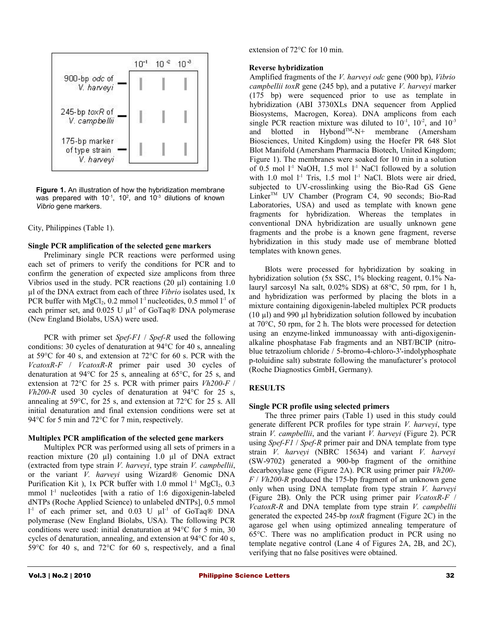

**Figure 1.** An illustration of how the hybridization membrane was prepared with 10<sup>-1</sup>, 10<sup>2</sup>, and 10<sup>-3</sup> dilutions of known *Vibrio* gene markers.

City, Philippines (Table 1).

#### **Single PCR amplification of the selected gene markers**

Preliminary single PCR reactions were performed using each set of primers to verify the conditions for PCR and to confirm the generation of expected size amplicons from three Vibrios used in the study. PCR reactions (20 µl) containing 1.0 µl of the DNA extract from each of three *Vibrio* isolates used, 1x PCR buffer with  $MgCl<sub>2</sub>$ , 0.2 mmol l<sup>-1</sup> nucleotides, 0.5 mmol l<sup>-1</sup> of each primer set, and  $0.025 \text{ U } \mu l^{\text{-}1}$  of GoTaq® DNA polymerase (New England Biolabs, USA) were used.

PCR with primer set *Spef-F1* / *Spef-R* used the following conditions: 30 cycles of denaturation at 94°C for 40 s, annealing at 59°C for 40 s, and extension at 72°C for 60 s. PCR with the *VcatoxR-F* / *VcatoxR-R* primer pair used 30 cycles of denaturation at 94°C for 25 s, annealing at 65°C, for 25 s, and extension at 72°C for 25 s. PCR with primer pairs *Vh200-F* / *Vh200-R* used 30 cycles of denaturation at 94°C for 25 s, annealing at 59°C, for 25 s, and extension at 72°C for 25 s. All initial denaturation and final extension conditions were set at 94°C for 5 min and 72°C for 7 min, respectively.

# **Multiplex PCR amplification of the selected gene markers**

Multiplex PCR was performed using all sets of primers in a reaction mixture (20 µl) containing 1.0 µl of DNA extract (extracted from type strain *V. harveyi*, type strain *V. campbellii*, or the variant *V. harveyi* using Wizard® Genomic DNA Purification Kit), 1x PCR buffer with 1.0 mmol  $1<sup>-1</sup>$  MgCl<sub>2</sub>, 0.3 mmol  $1<sup>-1</sup>$  nucleotides [with a ratio of 1:6 digoxigenin-labeled dNTPs (Roche Applied Science) to unlabeled dNTPs], 0.5 mmol  $l<sup>-1</sup>$  of each primer set, and 0.03 U  $\mu l<sup>-1</sup>$  of GoTaq® DNA polymerase (New England Biolabs, USA). The following PCR conditions were used: initial denaturation at 94°C for 5 min, 30 cycles of denaturation, annealing, and extension at 94°C for 40 s, 59°C for 40 s, and 72°C for 60 s, respectively, and a final

extension of 72°C for 10 min.

# **Reverse hybridization**

Amplified fragments of the *V. harveyi odc* gene (900 bp), *Vibrio campbellii toxR* gene (245 bp), and a putative *V. harveyi* marker (175 bp) were sequenced prior to use as template in hybridization (ABI 3730XLs DNA sequencer from Applied Biosystems, Macrogen, Korea). DNA amplicons from each single PCR reaction mixture was diluted to  $10^{-1}$ ,  $10^{-2}$ , and  $10^{-3}$ and blotted in Hybond<sup>TM</sup>-N+ membrane (Amersham Biosciences, United Kingdom) using the Hoefer PR 648 Slot Blot Manifold (Amersham Pharmacia Biotech, United Kingdom; Figure 1). The membranes were soaked for 10 min in a solution of 0.5 mol  $1<sup>-1</sup>$  NaOH, 1.5 mol  $1<sup>-1</sup>$  NaCl followed by a solution with 1.0 mol  $1<sup>-1</sup>$  Tris, 1.5 mol  $1<sup>-1</sup>$  NaCl. Blots were air dried, subjected to UV-crosslinking using the Bio-Rad GS Gene LinkerTM UV Chamber (Program C4, 90 seconds; Bio-Rad Laboratories, USA) and used as template with known gene fragments for hybridization. Whereas the templates in conventional DNA hybridization are usually unknown gene fragments and the probe is a known gene fragment, reverse hybridization in this study made use of membrane blotted templates with known genes.

Blots were processed for hybridization by soaking in hybridization solution (5x SSC, 1% blocking reagent, 0.1% Nalauryl sarcosyl Na salt, 0.02% SDS) at 68°C, 50 rpm, for 1 h, and hybridization was performed by placing the blots in a mixture containing digoxigenin-labeled multiplex PCR products  $(10 \mu l)$  and 990  $\mu l$  hybridization solution followed by incubation at  $70^{\circ}$ C, 50 rpm, for 2 h. The blots were processed for detection using an enzyme-linked immunoassay with anti-digoxigeninalkaline phosphatase Fab fragments and an NBT/BCIP (nitroblue tetrazolium chloride / 5-bromo-4-chloro-3'-indolyphosphate p-toluidine salt) substrate following the manufacturer's protocol (Roche Diagnostics GmbH, Germany).

# **RESULTS**

# **Single PCR profile using selected primers**

The three primer pairs (Table 1) used in this study could generate different PCR profiles for type strain *V. harveyi*, type strain *V. campbellii*, and the variant *V. harveyi* (Figure 2). PCR using *Spef-F1* / *Spef-R* primer pair and DNA template from type strain *V. harveyi* (NBRC 15634) and variant *V. harveyi* (SW-9702) generated a 900-bp fragment of the ornithine decarboxylase gene (Figure 2A). PCR using primer pair *Vh200- F* / *Vh200-R* produced the 175-bp fragment of an unknown gene only when using DNA template from type strain *V. harveyi* (Figure 2B). Only the PCR using primer pair *VcatoxR-F* / *VcatoxR-R* and DNA template from type strain *V. campbellii* generated the expected 245-bp *toxR* fragment (Figure 2C) in the agarose gel when using optimized annealing temperature of 65°C. There was no amplification product in PCR using no template negative control (Lane 4 of Figures 2A, 2B, and 2C), verifying that no false positives were obtained.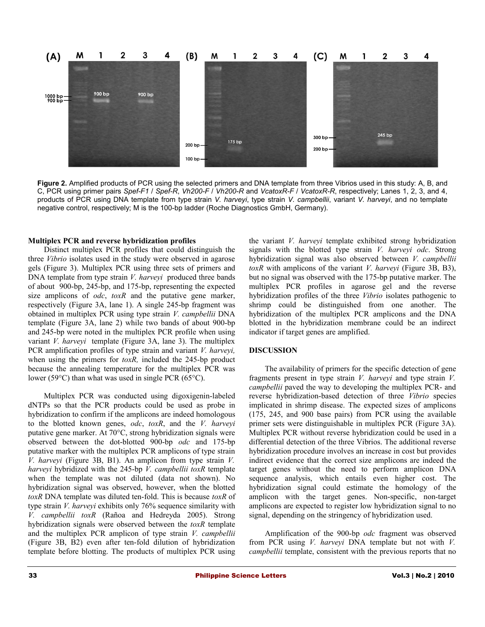

**Figure 2.** Amplified products of PCR using the selected primers and DNA template from three Vibrios used in this study: A, B, and C, PCR using primer pairs *Spef-F1* / *Spef-R*, *Vh200-F* / *Vh200-R* and *VcatoxR-F* / *VcatoxR-R*, respectively; Lanes 1, 2, 3, and 4, products of PCR using DNA template from type strain *V. harveyi*, type strain *V. campbellii*, variant *V. harveyi*, and no template negative control, respectively; M is the 100-bp ladder (Roche Diagnostics GmbH, Germany).

#### **Multiplex PCR and reverse hybridization profiles**

Distinct multiplex PCR profiles that could distinguish the three *Vibrio* isolates used in the study were observed in agarose gels (Figure 3). Multiplex PCR using three sets of primers and DNA template from type strain *V. harveyi* produced three bands of about 900-bp, 245-bp, and 175-bp, representing the expected size amplicons of *odc*, *toxR* and the putative gene marker, respectively (Figure 3A, lane 1). A single 245-bp fragment was obtained in multiplex PCR using type strain *V. campbellii* DNA template (Figure 3A, lane 2) while two bands of about 900-bp and 245-bp were noted in the multiplex PCR profile when using variant *V. harveyi* template (Figure 3A, lane 3). The multiplex PCR amplification profiles of type strain and variant *V. harveyi,* when using the primers for *toxR*, included the 245-bp product because the annealing temperature for the multiplex PCR was lower (59°C) than what was used in single PCR (65°C).

Multiplex PCR was conducted using digoxigenin-labeled dNTPs so that the PCR products could be used as probe in hybridization to confirm if the amplicons are indeed homologous to the blotted known genes, *odc*, *toxR*, and the *V. harveyi* putative gene marker. At 70°C, strong hybridization signals were observed between the dot-blotted 900-bp *odc* and 175-bp putative marker with the multiplex PCR amplicons of type strain *V. harveyi* (Figure 3B, B1). An amplicon from type strain *V. harveyi* hybridized with the 245-bp *V. campbellii toxR* template when the template was not diluted (data not shown). No hybridization signal was observed, however, when the blotted *toxR* DNA template was diluted ten-fold. This is because *toxR* of type strain *V. harveyi* exhibits only 76% sequence similarity with *V. campbellii toxR* (Rañoa and Hedreyda 2005). Strong hybridization signals were observed between the *toxR* template and the multiplex PCR amplicon of type strain *V. campbellii* (Figure 3B, B2) even after ten-fold dilution of hybridization template before blotting. The products of multiplex PCR using

the variant *V. harveyi* template exhibited strong hybridization signals with the blotted type strain *V. harveyi odc*. Strong hybridization signal was also observed between *V. campbellii toxR* with amplicons of the variant *V. harveyi* (Figure 3B, B3), but no signal was observed with the 175-bp putative marker. The multiplex PCR profiles in agarose gel and the reverse hybridization profiles of the three *Vibrio* isolates pathogenic to shrimp could be distinguished from one another. The hybridization of the multiplex PCR amplicons and the DNA blotted in the hybridization membrane could be an indirect indicator if target genes are amplified.

#### **DISCUSSION**

The availability of primers for the specific detection of gene fragments present in type strain *V. harveyi* and type strain *V. campbellii* paved the way to developing the multiplex PCR- and reverse hybridization-based detection of three *Vibrio* species implicated in shrimp disease. The expected sizes of amplicons (175, 245, and 900 base pairs) from PCR using the available primer sets were distinguishable in multiplex PCR (Figure 3A). Multiplex PCR without reverse hybridization could be used in a differential detection of the three Vibrios. The additional reverse hybridization procedure involves an increase in cost but provides indirect evidence that the correct size amplicons are indeed the target genes without the need to perform amplicon DNA sequence analysis, which entails even higher cost. The hybridization signal could estimate the homology of the amplicon with the target genes. Non-specific, non-target amplicons are expected to register low hybridization signal to no signal, depending on the stringency of hybridization used.

Amplification of the 900-bp *odc* fragment was observed from PCR using *V. harveyi* DNA template but not with *V. campbellii* template, consistent with the previous reports that no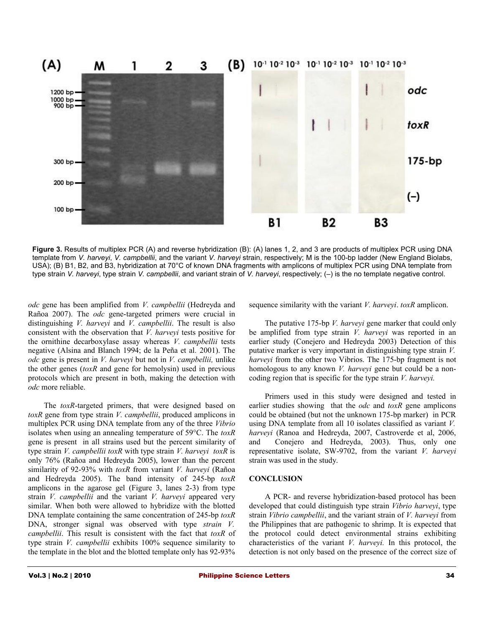

**Figure 3.** Results of multiplex PCR (A) and reverse hybridization (B): (A) lanes 1, 2, and 3 are products of multiplex PCR using DNA template from *V. harveyi*, *V. campbellii*, and the variant *V. harveyi* strain, respectively; M is the 100-bp ladder (New England Biolabs, USA); (B) B1, B2, and B3, hybridization at 70°C of known DNA fragments with amplicons of multiplex PCR using DNA template from type strain *V. harveyi*, type strain *V. campbellii*, and variant strain of *V. harveyi*, respectively; (–) is the no template negative control.

*odc* gene has been amplified from *V. campbellii* (Hedreyda and Rañoa 2007). The *odc* gene-targeted primers were crucial in distinguishing *V. harveyi* and *V. campbellii*. The result is also consistent with the observation that *V. harveyi* tests positive for the ornithine decarboxylase assay whereas *V. campbellii* tests negative (Alsina and Blanch 1994; de la Peña et al*.* 2001). The *odc* gene is present in *V. harveyi* but not in *V. campbellii,* unlike the other genes (*toxR* and gene for hemolysin) used in previous protocols which are present in both, making the detection with *odc* more reliable.

The *toxR*-targeted primers, that were designed based on *toxR* gene from type strain *V. campbellii*, produced amplicons in multiplex PCR using DNA template from any of the three *Vibrio* isolates when using an annealing temperature of 59°C. The *toxR* gene is present in all strains used but the percent similarity of type strain *V. campbellii toxR* with type strain *V. harveyi toxR* is only 76% (Rañoa and Hedreyda 2005), lower than the percent similarity of 92-93% with *toxR* from variant *V. harveyi* (Rañoa and Hedreyda 2005). The band intensity of 245-bp *toxR* amplicons in the agarose gel (Figure 3, lanes 2-3) from type strain *V. campbellii* and the variant *V. harveyi* appeared very similar. When both were allowed to hybridize with the blotted DNA template containing the same concentration of 245-bp *toxR* DNA, stronger signal was observed with type *strain V. campbellii*. This result is consistent with the fact that *toxR* of type strain *V. campbellii* exhibits 100% sequence similarity to the template in the blot and the blotted template only has 92-93%

sequence similarity with the variant *V. harveyi*. *toxR* amplicon.

The putative 175-bp *V. harveyi* gene marker that could only be amplified from type strain *V. harveyi* was reported in an earlier study (Conejero and Hedreyda 2003) Detection of this putative marker is very important in distinguishing type strain *V. harveyi* from the other two Vibrios. The 175-bp fragment is not homologous to any known *V. harveyi* gene but could be a noncoding region that is specific for the type strain *V. harveyi.*

Primers used in this study were designed and tested in earlier studies showing that the *odc* and *toxR* gene amplicons could be obtained (but not the unknown 175-bp marker) in PCR using DNA template from all 10 isolates classified as variant *V. harveyi* (Ranoa and Hedreyda, 2007, Castroverde et al, 2006, and Conejero and Hedreyda, 2003). Thus, only one representative isolate, SW-9702, from the variant *V. harveyi* strain was used in the study.

#### **CONCLUSION**

A PCR- and reverse hybridization-based protocol has been developed that could distinguish type strain *Vibrio harveyi*, type strain *Vibrio campbellii*, and the variant strain of *V. harveyi* from the Philippines that are pathogenic to shrimp. It is expected that the protocol could detect environmental strains exhibiting characteristics of the variant *V. harveyi.* In this protocol, the detection is not only based on the presence of the correct size of